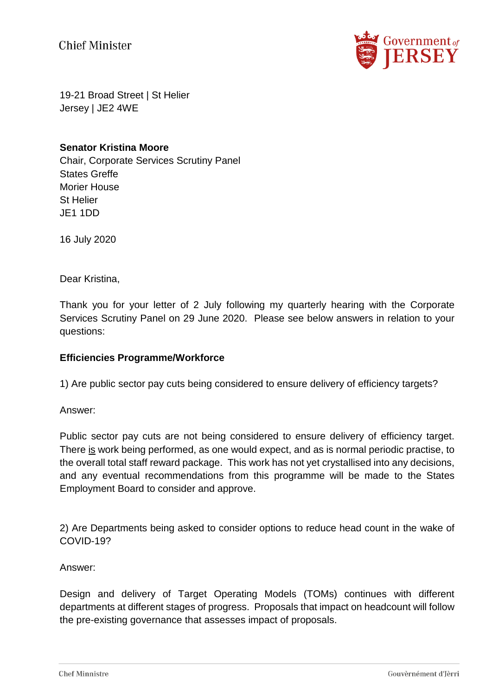**Chief Minister** 



19-21 Broad Street | St Helier Jersey | JE2 4WE

## **Senator Kristina Moore**

Chair, Corporate Services Scrutiny Panel States Greffe Morier House St Helier JE1 1DD

16 July 2020

Dear Kristina,

Thank you for your letter of 2 July following my quarterly hearing with the Corporate Services Scrutiny Panel on 29 June 2020. Please see below answers in relation to your questions:

## **Efficiencies Programme/Workforce**

1) Are public sector pay cuts being considered to ensure delivery of efficiency targets?

Answer:

Public sector pay cuts are not being considered to ensure delivery of efficiency target. There is work being performed, as one would expect, and as is normal periodic practise, to the overall total staff reward package. This work has not yet crystallised into any decisions, and any eventual recommendations from this programme will be made to the States Employment Board to consider and approve.

2) Are Departments being asked to consider options to reduce head count in the wake of COVID-19?

Answer:

Design and delivery of Target Operating Models (TOMs) continues with different departments at different stages of progress. Proposals that impact on headcount will follow the pre-existing governance that assesses impact of proposals.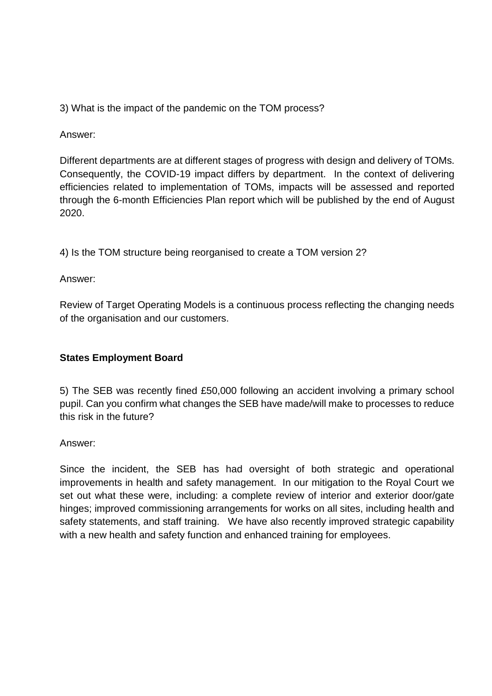3) What is the impact of the pandemic on the TOM process?

Answer:

Different departments are at different stages of progress with design and delivery of TOMs. Consequently, the COVID-19 impact differs by department. In the context of delivering efficiencies related to implementation of TOMs, impacts will be assessed and reported through the 6-month Efficiencies Plan report which will be published by the end of August 2020.

4) Is the TOM structure being reorganised to create a TOM version 2?

Answer:

Review of Target Operating Models is a continuous process reflecting the changing needs of the organisation and our customers.

# **States Employment Board**

5) The SEB was recently fined £50,000 following an accident involving a primary school pupil. Can you confirm what changes the SEB have made/will make to processes to reduce this risk in the future?

Answer:

Since the incident, the SEB has had oversight of both strategic and operational improvements in health and safety management. In our mitigation to the Royal Court we set out what these were, including: a complete review of interior and exterior door/gate hinges; improved commissioning arrangements for works on all sites, including health and safety statements, and staff training. We have also recently improved strategic capability with a new health and safety function and enhanced training for employees.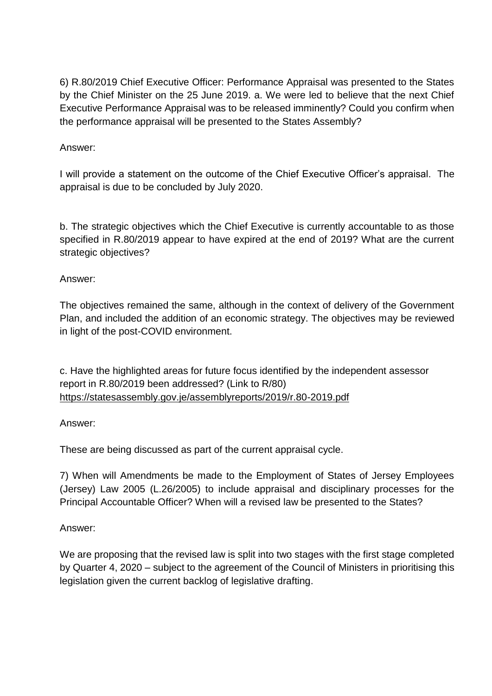6) R.80/2019 Chief Executive Officer: Performance Appraisal was presented to the States by the Chief Minister on the 25 June 2019. a. We were led to believe that the next Chief Executive Performance Appraisal was to be released imminently? Could you confirm when the performance appraisal will be presented to the States Assembly?

## Answer:

I will provide a statement on the outcome of the Chief Executive Officer's appraisal. The appraisal is due to be concluded by July 2020.

b. The strategic objectives which the Chief Executive is currently accountable to as those specified in R.80/2019 appear to have expired at the end of 2019? What are the current strategic objectives?

## Answer:

The objectives remained the same, although in the context of delivery of the Government Plan, and included the addition of an economic strategy. The objectives may be reviewed in light of the post-COVID environment.

c. Have the highlighted areas for future focus identified by the independent assessor report in R.80/2019 been addressed? (Link to R/80) [https://statesassembly.gov.je/assemblyreports/2019/r.80-2019.pdf](https://eur02.safelinks.protection.outlook.com/?url=https%3A%2F%2Fstatesassembly.gov.je%2Fassemblyreports%2F2019%2Fr.80-2019.pdf&data=02%7C01%7C%7Cd4e142e60105475c62c208d8265b55c5%7C2b5615117ddf495c8164f56ae776c54a%7C0%7C0%7C637301521025100593&sdata=XLa9fvSUxf8In1834PBOMnPy5VvNAoH4KAYFypiVlFA%3D&reserved=0)

## Answer:

These are being discussed as part of the current appraisal cycle.

7) When will Amendments be made to the Employment of States of Jersey Employees (Jersey) Law 2005 (L.26/2005) to include appraisal and disciplinary processes for the Principal Accountable Officer? When will a revised law be presented to the States?

# Answer:

We are proposing that the revised law is split into two stages with the first stage completed by Quarter 4, 2020 – subject to the agreement of the Council of Ministers in prioritising this legislation given the current backlog of legislative drafting.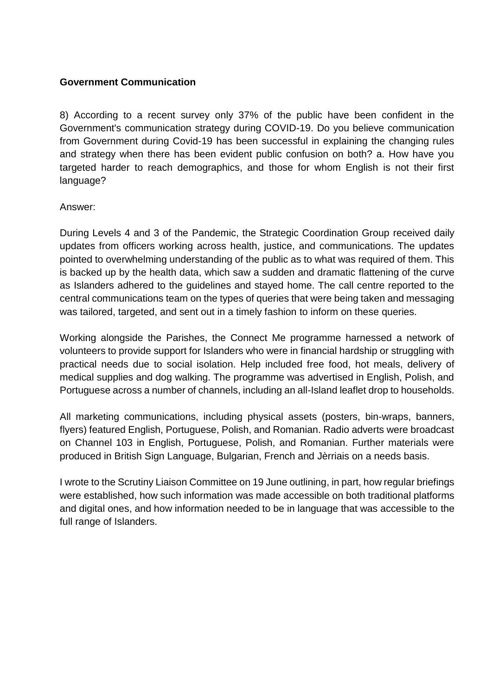# **Government Communication**

8) According to a recent survey only 37% of the public have been confident in the Government's communication strategy during COVID-19. Do you believe communication from Government during Covid-19 has been successful in explaining the changing rules and strategy when there has been evident public confusion on both? a. How have you targeted harder to reach demographics, and those for whom English is not their first language?

## Answer:

During Levels 4 and 3 of the Pandemic, the Strategic Coordination Group received daily updates from officers working across health, justice, and communications. The updates pointed to overwhelming understanding of the public as to what was required of them. This is backed up by the health data, which saw a sudden and dramatic flattening of the curve as Islanders adhered to the guidelines and stayed home. The call centre reported to the central communications team on the types of queries that were being taken and messaging was tailored, targeted, and sent out in a timely fashion to inform on these queries.

Working alongside the Parishes, the Connect Me programme harnessed a network of volunteers to provide support for Islanders who were in financial hardship or struggling with practical needs due to social isolation. Help included free food, hot meals, delivery of medical supplies and dog walking. The programme was advertised in English, Polish, and Portuguese across a number of channels, including an all-Island leaflet drop to households.

All marketing communications, including physical assets (posters, bin-wraps, banners, flyers) featured English, Portuguese, Polish, and Romanian. Radio adverts were broadcast on Channel 103 in English, Portuguese, Polish, and Romanian. Further materials were produced in British Sign Language, Bulgarian, French and Jèrriais on a needs basis.

I wrote to the Scrutiny Liaison Committee on 19 June outlining, in part, how regular briefings were established, how such information was made accessible on both traditional platforms and digital ones, and how information needed to be in language that was accessible to the full range of Islanders.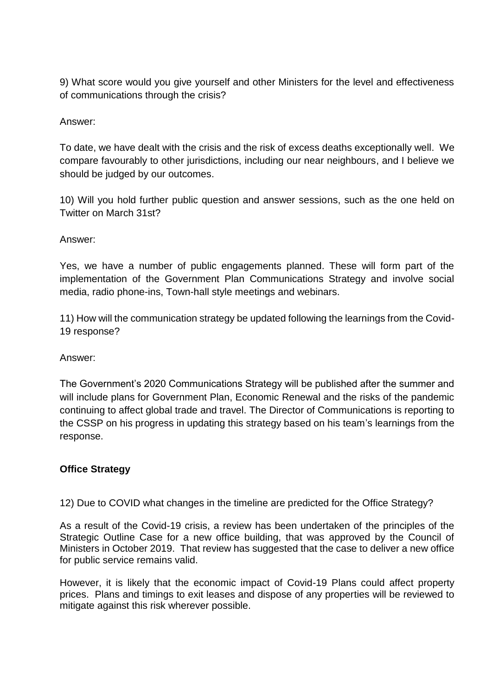9) What score would you give yourself and other Ministers for the level and effectiveness of communications through the crisis?

# Answer:

To date, we have dealt with the crisis and the risk of excess deaths exceptionally well. We compare favourably to other jurisdictions, including our near neighbours, and I believe we should be judged by our outcomes.

10) Will you hold further public question and answer sessions, such as the one held on Twitter on March 31st?

## Answer:

Yes, we have a number of public engagements planned. These will form part of the implementation of the Government Plan Communications Strategy and involve social media, radio phone-ins, Town-hall style meetings and webinars.

11) How will the communication strategy be updated following the learnings from the Covid-19 response?

## Answer:

The Government's 2020 Communications Strategy will be published after the summer and will include plans for Government Plan, Economic Renewal and the risks of the pandemic continuing to affect global trade and travel. The Director of Communications is reporting to the CSSP on his progress in updating this strategy based on his team's learnings from the response.

## **Office Strategy**

12) Due to COVID what changes in the timeline are predicted for the Office Strategy?

As a result of the Covid-19 crisis, a review has been undertaken of the principles of the Strategic Outline Case for a new office building, that was approved by the Council of Ministers in October 2019. That review has suggested that the case to deliver a new office for public service remains valid.

However, it is likely that the economic impact of Covid-19 Plans could affect property prices. Plans and timings to exit leases and dispose of any properties will be reviewed to mitigate against this risk wherever possible.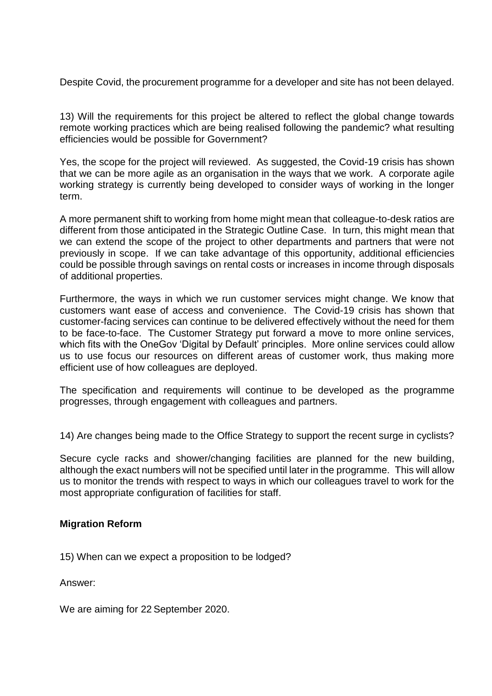Despite Covid, the procurement programme for a developer and site has not been delayed.

13) Will the requirements for this project be altered to reflect the global change towards remote working practices which are being realised following the pandemic? what resulting efficiencies would be possible for Government?

Yes, the scope for the project will reviewed. As suggested, the Covid-19 crisis has shown that we can be more agile as an organisation in the ways that we work. A corporate agile working strategy is currently being developed to consider ways of working in the longer term.

A more permanent shift to working from home might mean that colleague-to-desk ratios are different from those anticipated in the Strategic Outline Case. In turn, this might mean that we can extend the scope of the project to other departments and partners that were not previously in scope. If we can take advantage of this opportunity, additional efficiencies could be possible through savings on rental costs or increases in income through disposals of additional properties.

Furthermore, the ways in which we run customer services might change. We know that customers want ease of access and convenience. The Covid-19 crisis has shown that customer-facing services can continue to be delivered effectively without the need for them to be face-to-face. The Customer Strategy put forward a move to more online services, which fits with the OneGov 'Digital by Default' principles. More online services could allow us to use focus our resources on different areas of customer work, thus making more efficient use of how colleagues are deployed.

The specification and requirements will continue to be developed as the programme progresses, through engagement with colleagues and partners.

14) Are changes being made to the Office Strategy to support the recent surge in cyclists?

Secure cycle racks and shower/changing facilities are planned for the new building, although the exact numbers will not be specified until later in the programme. This will allow us to monitor the trends with respect to ways in which our colleagues travel to work for the most appropriate configuration of facilities for staff.

#### **Migration Reform**

15) When can we expect a proposition to be lodged?

Answer:

We are aiming for 22 September 2020.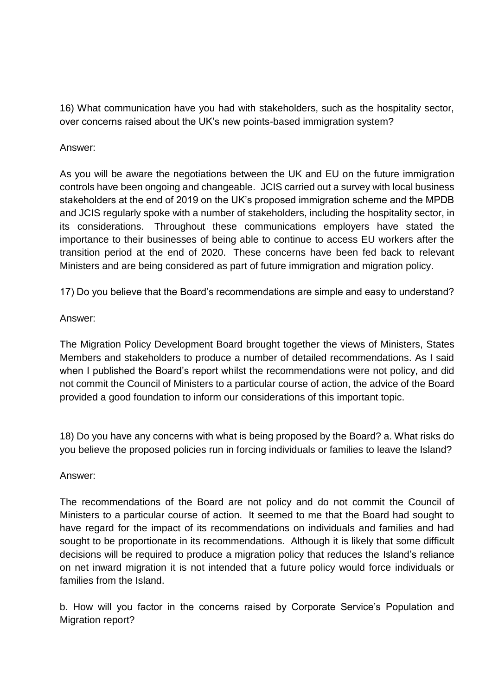16) What communication have you had with stakeholders, such as the hospitality sector, over concerns raised about the UK's new points-based immigration system?

# Answer:

As you will be aware the negotiations between the UK and EU on the future immigration controls have been ongoing and changeable. JCIS carried out a survey with local business stakeholders at the end of 2019 on the UK's proposed immigration scheme and the MPDB and JCIS regularly spoke with a number of stakeholders, including the hospitality sector, in its considerations. Throughout these communications employers have stated the importance to their businesses of being able to continue to access EU workers after the transition period at the end of 2020. These concerns have been fed back to relevant Ministers and are being considered as part of future immigration and migration policy.

17) Do you believe that the Board's recommendations are simple and easy to understand?

## Answer:

The Migration Policy Development Board brought together the views of Ministers, States Members and stakeholders to produce a number of detailed recommendations. As I said when I published the Board's report whilst the recommendations were not policy, and did not commit the Council of Ministers to a particular course of action, the advice of the Board provided a good foundation to inform our considerations of this important topic.

18) Do you have any concerns with what is being proposed by the Board? a. What risks do you believe the proposed policies run in forcing individuals or families to leave the Island?

## Answer:

The recommendations of the Board are not policy and do not commit the Council of Ministers to a particular course of action. It seemed to me that the Board had sought to have regard for the impact of its recommendations on individuals and families and had sought to be proportionate in its recommendations. Although it is likely that some difficult decisions will be required to produce a migration policy that reduces the Island's reliance on net inward migration it is not intended that a future policy would force individuals or families from the Island.

b. How will you factor in the concerns raised by Corporate Service's Population and Migration report?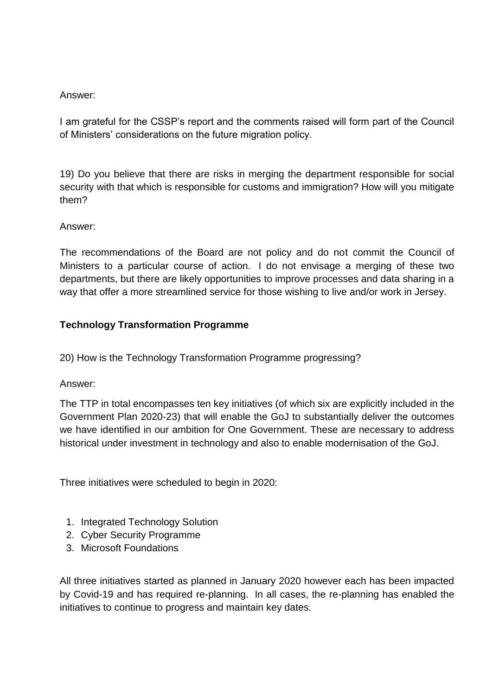# Answer:

I am grateful for the CSSP's report and the comments raised will form part of the Council of Ministers' considerations on the future migration policy.

19) Do you believe that there are risks in merging the department responsible for social security with that which is responsible for customs and immigration? How will you mitigate them?

# Answer:

The recommendations of the Board are not policy and do not commit the Council of Ministers to a particular course of action. I do not envisage a merging of these two departments, but there are likely opportunities to improve processes and data sharing in a way that offer a more streamlined service for those wishing to live and/or work in Jersey.

# **Technology Transformation Programme**

20) How is the Technology Transformation Programme progressing?

# Answer:

The TTP in total encompasses ten key initiatives (of which six are explicitly included in the Government Plan 2020-23) that will enable the GoJ to substantially deliver the outcomes we have identified in our ambition for One Government. These are necessary to address historical under investment in technology and also to enable modernisation of the GoJ.

Three initiatives were scheduled to begin in 2020:

- 1. Integrated Technology Solution
- 2. Cyber Security Programme
- 3. Microsoft Foundations

All three initiatives started as planned in January 2020 however each has been impacted by Covid-19 and has required re-planning. In all cases, the re-planning has enabled the initiatives to continue to progress and maintain key dates.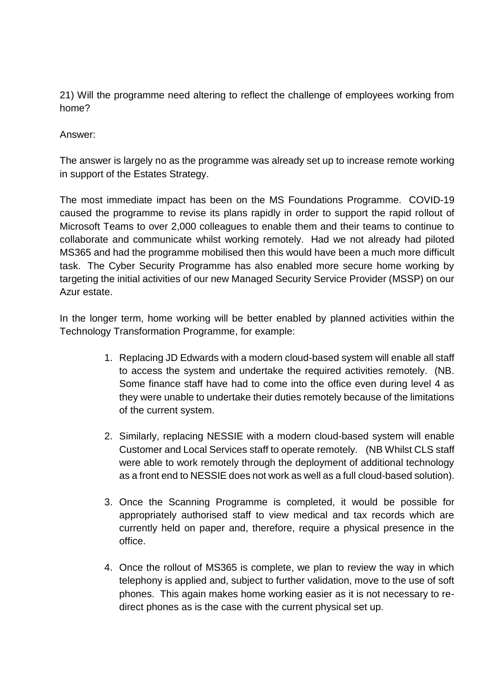21) Will the programme need altering to reflect the challenge of employees working from home?

Answer:

The answer is largely no as the programme was already set up to increase remote working in support of the Estates Strategy.

The most immediate impact has been on the MS Foundations Programme. COVID-19 caused the programme to revise its plans rapidly in order to support the rapid rollout of Microsoft Teams to over 2,000 colleagues to enable them and their teams to continue to collaborate and communicate whilst working remotely. Had we not already had piloted MS365 and had the programme mobilised then this would have been a much more difficult task. The Cyber Security Programme has also enabled more secure home working by targeting the initial activities of our new Managed Security Service Provider (MSSP) on our Azur estate.

In the longer term, home working will be better enabled by planned activities within the Technology Transformation Programme, for example:

- 1. Replacing JD Edwards with a modern cloud-based system will enable all staff to access the system and undertake the required activities remotely. (NB. Some finance staff have had to come into the office even during level 4 as they were unable to undertake their duties remotely because of the limitations of the current system.
- 2. Similarly, replacing NESSIE with a modern cloud-based system will enable Customer and Local Services staff to operate remotely. (NB Whilst CLS staff were able to work remotely through the deployment of additional technology as a front end to NESSIE does not work as well as a full cloud-based solution).
- 3. Once the Scanning Programme is completed, it would be possible for appropriately authorised staff to view medical and tax records which are currently held on paper and, therefore, require a physical presence in the office.
- 4. Once the rollout of MS365 is complete, we plan to review the way in which telephony is applied and, subject to further validation, move to the use of soft phones. This again makes home working easier as it is not necessary to redirect phones as is the case with the current physical set up.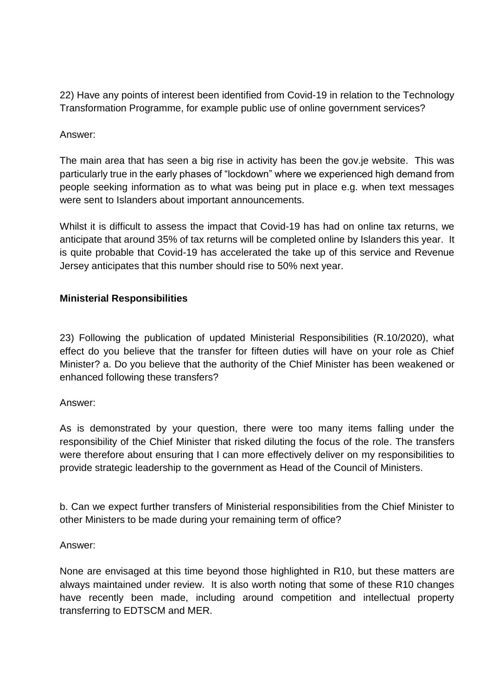22) Have any points of interest been identified from Covid-19 in relation to the Technology Transformation Programme, for example public use of online government services?

# Answer:

The main area that has seen a big rise in activity has been the gov.je website. This was particularly true in the early phases of "lockdown" where we experienced high demand from people seeking information as to what was being put in place e.g. when text messages were sent to Islanders about important announcements.

Whilst it is difficult to assess the impact that Covid-19 has had on online tax returns, we anticipate that around 35% of tax returns will be completed online by Islanders this year. It is quite probable that Covid-19 has accelerated the take up of this service and Revenue Jersey anticipates that this number should rise to 50% next year.

## **Ministerial Responsibilities**

23) Following the publication of updated Ministerial Responsibilities (R.10/2020), what effect do you believe that the transfer for fifteen duties will have on your role as Chief Minister? a. Do you believe that the authority of the Chief Minister has been weakened or enhanced following these transfers?

## Answer:

As is demonstrated by your question, there were too many items falling under the responsibility of the Chief Minister that risked diluting the focus of the role. The transfers were therefore about ensuring that I can more effectively deliver on my responsibilities to provide strategic leadership to the government as Head of the Council of Ministers.

b. Can we expect further transfers of Ministerial responsibilities from the Chief Minister to other Ministers to be made during your remaining term of office?

## Answer:

None are envisaged at this time beyond those highlighted in R10, but these matters are always maintained under review. It is also worth noting that some of these R10 changes have recently been made, including around competition and intellectual property transferring to EDTSCM and MER.